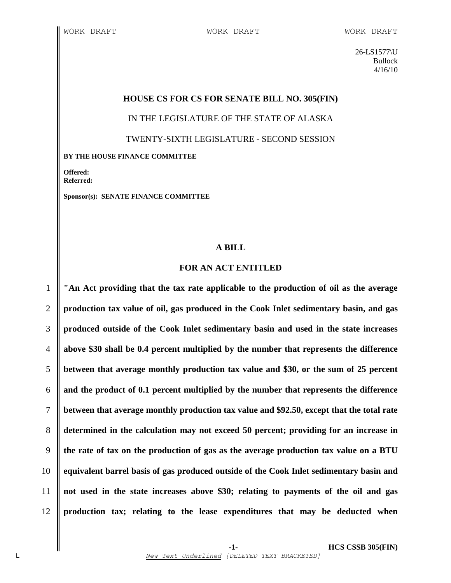26-LS1577\U Bullock 4/16/10

### **HOUSE CS FOR CS FOR SENATE BILL NO. 305(FIN)**

IN THE LEGISLATURE OF THE STATE OF ALASKA

TWENTY-SIXTH LEGISLATURE - SECOND SESSION

**BY THE HOUSE FINANCE COMMITTEE**

**Offered: Referred:** 

**Sponsor(s): SENATE FINANCE COMMITTEE**

## **A BILL**

### **FOR AN ACT ENTITLED**

 **"An Act providing that the tax rate applicable to the production of oil as the average production tax value of oil, gas produced in the Cook Inlet sedimentary basin, and gas produced outside of the Cook Inlet sedimentary basin and used in the state increases above \$30 shall be 0.4 percent multiplied by the number that represents the difference between that average monthly production tax value and \$30, or the sum of 25 percent and the product of 0.1 percent multiplied by the number that represents the difference between that average monthly production tax value and \$92.50, except that the total rate determined in the calculation may not exceed 50 percent; providing for an increase in the rate of tax on the production of gas as the average production tax value on a BTU equivalent barrel basis of gas produced outside of the Cook Inlet sedimentary basin and not used in the state increases above \$30; relating to payments of the oil and gas production tax; relating to the lease expenditures that may be deducted when**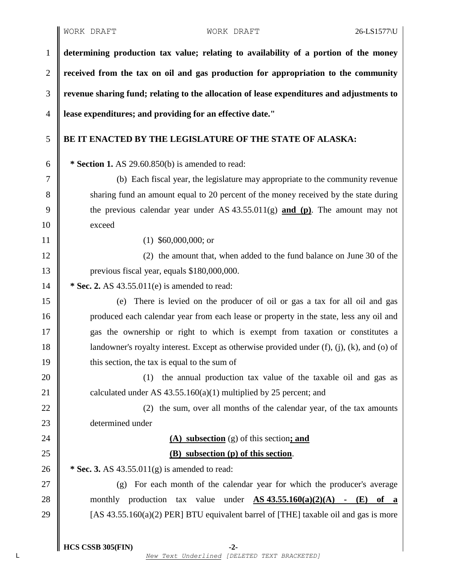**determining production tax value; relating to availability of a portion of the money received from the tax on oil and gas production for appropriation to the community revenue sharing fund; relating to the allocation of lease expenditures and adjustments to lease expenditures; and providing for an effective date."**

# 5 **BE IT ENACTED BY THE LEGISLATURE OF THE STATE OF ALASKA:**

6 **\* Section 1.** AS 29.60.850(b) is amended to read:

7 (b) Each fiscal year, the legislature may appropriate to the community revenue 8 shartless shartless shartless and an amount equal to 20 percent of the money received by the state during 9 the previous calendar year under AS 43.55.011(g) **and (p)**. The amount may not 10 exceed

11 (1) \$60,000,000; or

12 (2) the amount that, when added to the fund balance on June 30 of the 13 | previous fiscal year, equals \$180,000,000.

14 **\*** Sec. 2. AS 43.55.011(e) is amended to read:

15 (e) There is levied on the producer of oil or gas a tax for all oil and gas 16 produced each calendar year from each lease or property in the state, less any oil and 17 gas the ownership or right to which is exempt from taxation or constitutes a 18 | landowner's royalty interest. Except as otherwise provided under  $(f)$ ,  $(i)$ ,  $(k)$ , and  $(o)$  of  $19 \parallel$  this section, the tax is equal to the sum of

20  $\parallel$  (1) the annual production tax value of the taxable oil and gas as 21 calculated under AS  $43.55.160(a)(1)$  multiplied by 25 percent; and

22 (2) the sum, over all months of the calendar year, of the tax amounts 23 determined under

# 24 **(A) subsection** (g) of this section**; and** 25 **(B) subsection (p) of this section**.

26 **\*** Sec. 3. AS 43.55.011(g) is amended to read:

27 (g) For each month of the calendar year for which the producer's average 28 monthly production tax value under **AS 43.55.160(a)(2)(A) - (E) of a** 29  $\parallel$  [AS 43.55.160(a)(2) PER] BTU equivalent barrel of [THE] taxable oil and gas is more

**HCS CSSB 305(FIN) -2-**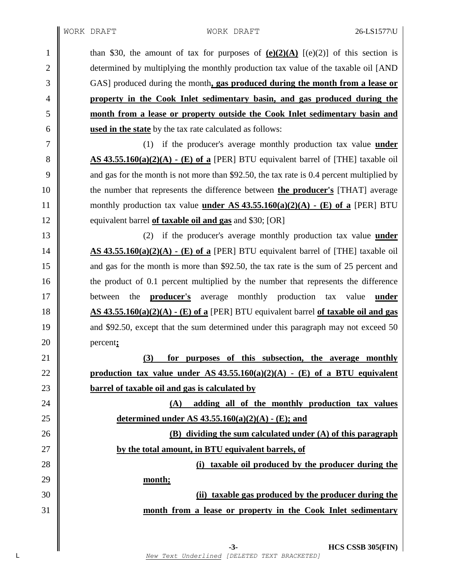1 than \$30, the amount of tax for purposes of  $(e)(2)(A)$   $[(e)(2)]$  of this section is 2 determined by multiplying the monthly production tax value of the taxable oil [AND GAS] produced during the month**, gas produced during the month from a lease or property in the Cook Inlet sedimentary basin, and gas produced during the month from a lease or property outside the Cook Inlet sedimentary basin and used in the state** by the tax rate calculated as follows:

 (1) if the producer's average monthly production tax value **under AS 43.55.160(a)(2)(A) - (E) of a** [PER] BTU equivalent barrel of [THE] taxable oil  $\parallel$  and gas for the month is not more than \$92.50, the tax rate is 0.4 percent multiplied by the number that represents the difference between **the producer's** [THAT] average 11 monthly production tax value **under** AS  $43.55.160(a)(2)(A)$  **·** (E) of a [PER] BTU **equivalent barrel of taxable oil and gas** and \$30; [OR]

 (2) if the producer's average monthly production tax value **under AS 43.55.160(a)(2)(A) - (E) of a** [PER] BTU equivalent barrel of [THE] taxable oil 15 and gas for the month is more than \$92.50, the tax rate is the sum of 25 percent and 16 the product of 0.1 percent multiplied by the number that represents the difference between the **producer's** average monthly production tax value **under AS 43.55.160(a)(2)(A) - (E) of a** [PER] BTU equivalent barrel **of taxable oil and gas** 19 and \$92.50, except that the sum determined under this paragraph may not exceed 50 percent**;**

 **(3) for purposes of this subsection, the average monthly** 22 **production tax value under AS** 43.55.160(a)(2)(A)  $\cdot$  (E) of a BTU equivalent **barrel of taxable oil and gas is calculated by**

 **(A) adding all of the monthly production tax values determined under AS 43.55.160(a)(2)(A) - (E); and**

 **(B) dividing the sum calculated under (A) of this paragraph by the total amount, in BTU equivalent barrels, of**

**(i) taxable oil produced by the producer during the**

**month;**

 **(ii) taxable gas produced by the producer during the month from a lease or property in the Cook Inlet sedimentary**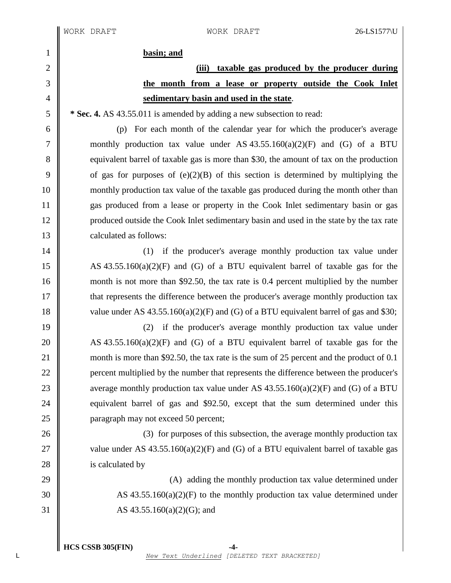1 **basin; and**

# 2 **(iii) taxable gas produced by the producer during** 3 **the month from a lease or property outside the Cook Inlet** 4 **sedimentary basin and used in the state**.

5 **\*** Sec. 4. AS 43.55.011 is amended by adding a new subsection to read:

6 (p) For each month of the calendar year for which the producer's average 7 monthly production tax value under AS  $43.55.160(a)(2)(F)$  and (G) of a BTU 8 equivalent barrel of taxable gas is more than \$30, the amount of tax on the production 9 of gas for purposes of  $(e)(2)(B)$  of this section is determined by multiplying the 10 monthly production tax value of the taxable gas produced during the month other than 11 gas produced from a lease or property in the Cook Inlet sedimentary basin or gas 12 produced outside the Cook Inlet sedimentary basin and used in the state by the tax rate 13 | calculated as follows:

14 || (1) if the producer's average monthly production tax value under 15  $\parallel$  AS 43.55.160(a)(2)(F) and (G) of a BTU equivalent barrel of taxable gas for the 16 month is not more than \$92.50, the tax rate is 0.4 percent multiplied by the number 17 **that represents the difference between the producer's average monthly production tax** 18 value under AS  $43.55.160(a)(2)(F)$  and (G) of a BTU equivalent barrel of gas and \$30;

19 (2) if the producer's average monthly production tax value under 20  $\parallel$  AS 43.55.160(a)(2)(F) and (G) of a BTU equivalent barrel of taxable gas for the 21 month is more than \$92.50, the tax rate is the sum of 25 percent and the product of 0.1 22 **percent multiplied by the number that represents the difference between the producer's** 23 average monthly production tax value under AS  $43.55.160(a)(2)(F)$  and (G) of a BTU 24 equivalent barrel of gas and \$92.50, except that the sum determined under this 25 **paragraph may not exceed 50 percent;** 

26 (3) for purposes of this subsection, the average monthly production tax 27  $\parallel$  value under AS 43.55.160(a)(2)(F) and (G) of a BTU equivalent barrel of taxable gas 28 is calculated by

29 (A) adding the monthly production tax value determined under  $30 \parallel$  AS 43.55.160(a)(2)(F) to the monthly production tax value determined under 31 AS 43.55.160(a)(2)(G); and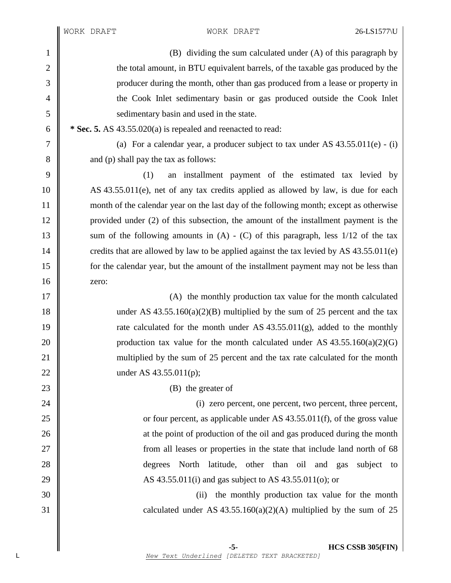1 (B) dividing the sum calculated under (A) of this paragraph by 2  $\parallel$  the total amount, in BTU equivalent barrels, of the taxable gas produced by the 3 producer during the month, other than gas produced from a lease or property in 4 the Cook Inlet sedimentary basin or gas produced outside the Cook Inlet 5 sedimentary basin and used in the state.  $\begin{bmatrix} 6 \end{bmatrix}$  \* **Sec. 5.** AS 43.55.020(a) is repealed and reenacted to read: 7 (a) For a calendar year, a producer subject to tax under AS  $43.55.011(e) - (i)$ 8 and (p) shall pay the tax as follows: 9 (1) an installment payment of the estimated tax levied by 10 AS 43.55.011(e), net of any tax credits applied as allowed by law, is due for each 11 month of the calendar year on the last day of the following month; except as otherwise 12 provided under (2) of this subsection, the amount of the installment payment is the 13 || sum of the following amounts in  $(A) - (C)$  of this paragraph, less 1/12 of the tax 14 credits that are allowed by law to be applied against the tax levied by AS  $43.55.011(e)$ 15 for the calendar year, but the amount of the installment payment may not be less than  $16 \parallel$  zero: 17 || (A) the monthly production tax value for the month calculated 18 under AS  $43.55.160(a)(2)(B)$  multiplied by the sum of 25 percent and the tax 19 Tate calculated for the month under AS  $43.55.011(g)$ , added to the monthly 20 production tax value for the month calculated under AS  $43.55.160(a)(2)(G)$ 21 || multiplied by the sum of 25 percent and the tax rate calculated for the month 22 || under AS 43.55.011(p); 23  $\parallel$  (B) the greater of 24 (i) zero percent, one percent, two percent, three percent, 25  $\parallel$  or four percent, as applicable under AS 43.55.011(f), of the gross value 26 at the point of production of the oil and gas produced during the month 27 || from all leases or properties in the state that include land north of 68 28 **degrees** North latitude, other than oil and gas subject to 29  $\parallel$  AS 43.55.011(i) and gas subject to AS 43.55.011(o); or 30 (ii) the monthly production tax value for the month 31 calculated under AS  $43.55.160(a)(2)(A)$  multiplied by the sum of 25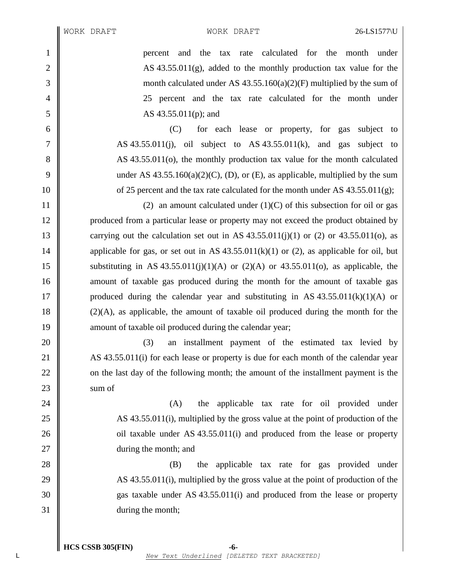1 percent and the tax rate calculated for the month under 2  $\parallel$  AS 43.55.011(g), added to the monthly production tax value for the  $3 \parallel$  month calculated under AS 43.55.160(a)(2)(F) multiplied by the sum of 4 25 percent and the tax rate calculated for the month under 5 AS 43.55.011(p); and

6 (C) for each lease or property, for gas subject to  $7 \parallel$  AS 43.55.011(j), oil subject to AS 43.55.011(k), and gas subject to 8 AS 43.55.011(o), the monthly production tax value for the month calculated 9 under AS  $43.55.160(a)(2)(C)$ , (D), or (E), as applicable, multiplied by the sum 10  $\parallel$  of 25 percent and the tax rate calculated for the month under AS 43.55.011(g);

11  $\parallel$  (2) an amount calculated under (1)(C) of this subsection for oil or gas 12 produced from a particular lease or property may not exceed the product obtained by 13 carrying out the calculation set out in AS  $43.55.011(i)(1)$  or (2) or  $43.55.011(o)$ , as 14 applicable for gas, or set out in AS  $43.55.011(k)(1)$  or (2), as applicable for oil, but 15 Substituting in AS 43.55.011(j)(1)(A) or (2)(A) or 43.55.011(o), as applicable, the 16 **amount** of taxable gas produced during the month for the amount of taxable gas 17 produced during the calendar year and substituting in AS  $43.55.011(k)(1)(A)$  or 18  $\parallel$  (2)(A), as applicable, the amount of taxable oil produced during the month for the 19 **amount of taxable oil produced during the calendar year**;

20 || (3) an installment payment of the estimated tax levied by 21 AS 43.55.011(i) for each lease or property is due for each month of the calendar year 22 on the last day of the following month; the amount of the installment payment is the  $23 \parallel$  sum of

24 (A) the applicable tax rate for oil provided under 25  $\parallel$  AS 43.55.011(i), multiplied by the gross value at the point of production of the 26 oil taxable under AS 43.55.011(i) and produced from the lease or property 27 || during the month; and

28 (B) the applicable tax rate for gas provided under  $\parallel$  AS 43.55.011(i), multiplied by the gross value at the point of production of the gas taxable under AS 43.55.011(i) and produced from the lease or property during the month;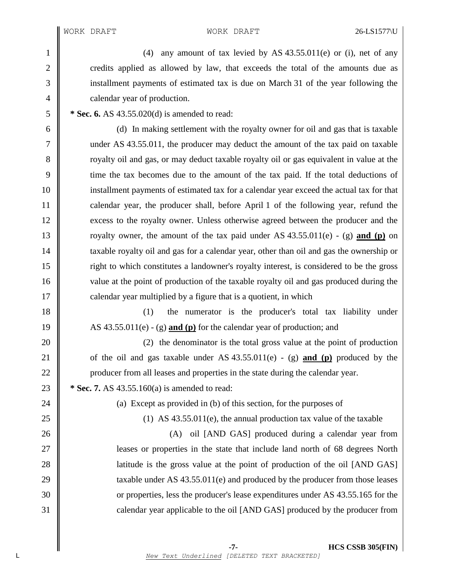1 (4) any amount of tax levied by AS 43.55.011(e) or (i), net of any 2 credits applied as allowed by law, that exceeds the total of the amounts due as 3 installment payments of estimated tax is due on March 31 of the year following the 4 **calendar year of production.** 

5 **\* Sec. 6.** AS 43.55.020(d) is amended to read:

 (d) In making settlement with the royalty owner for oil and gas that is taxable under AS 43.55.011, the producer may deduct the amount of the tax paid on taxable 8 The solution of state royalty oil and gas, or may deduct taxable royalty oil or gas equivalent in value at the time the tax becomes due to the amount of the tax paid. If the total deductions of installment payments of estimated tax for a calendar year exceed the actual tax for that calendar year, the producer shall, before April 1 of the following year, refund the 12 excess to the royalty owner. Unless otherwise agreed between the producer and the royalty owner, the amount of the tax paid under AS 43.55.011(e) - (g) **and (p)** on **taxable royalty oil and gas for a calendar year, other than oil and gas the ownership or**  right to which constitutes a landowner's royalty interest, is considered to be the gross 16 value at the point of production of the taxable royalty oil and gas produced during the  $17 \parallel$  calendar year multiplied by a figure that is a quotient, in which

18 (1) the numerator is the producer's total tax liability under 19 AS 43.55.011(e) - (g) **and (p)** for the calendar year of production; and

20 (2) the denominator is the total gross value at the point of production 21  $\parallel$  of the oil and gas taxable under AS 43.55.011(e) - (g) **and (p)** produced by the 22 | producer from all leases and properties in the state during the calendar year.

23 **\*** Sec. 7. AS 43.55.160(a) is amended to read:

24  $\parallel$  (a) Except as provided in (b) of this section, for the purposes of

25 (1) AS 43.55.011(e), the annual production tax value of the taxable

26 (A) oil [AND GAS] produced during a calendar year from 27 leases or properties in the state that include land north of 68 degrees North 28 all 28 latitude is the gross value at the point of production of the oil [AND GAS] 29  $\parallel$  taxable under AS 43.55.011(e) and produced by the producer from those leases 30 or properties, less the producer's lease expenditures under AS 43.55.165 for the 31 calendar year applicable to the oil [AND GAS] produced by the producer from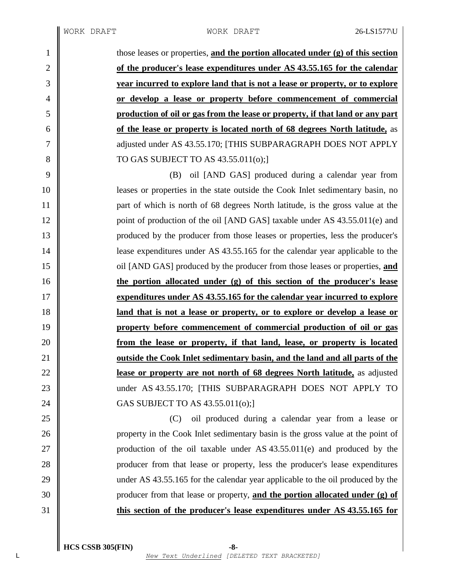those leases or properties, **and the portion allocated under (g) of this section of the producer's lease expenditures under AS 43.55.165 for the calendar year incurred to explore land that is not a lease or property, or to explore or develop a lease or property before commencement of commercial production of oil or gas from the lease or property, if that land or any part of the lease or property is located north of 68 degrees North latitude,** as 7 || adjusted under AS 43.55.170; [THIS SUBPARAGRAPH DOES NOT APPLY 8 || TO GAS SUBJECT TO AS  $43.55.011(0)$ ; (B) oil [AND GAS] produced during a calendar year from leases or properties in the state outside the Cook Inlet sedimentary basin, no **part of which is north of 68 degrees North latitude, is the gross value at the** 12 point of production of the oil [AND GAS] taxable under AS 43.55.011(e) and produced by the producer from those leases or properties, less the producer's **||** lease expenditures under AS 43.55.165 for the calendar year applicable to the oil [AND GAS] produced by the producer from those leases or properties, **and the portion allocated under (g) of this section of the producer's lease expenditures under AS 43.55.165 for the calendar year incurred to explore land that is not a lease or property, or to explore or develop a lease or property before commencement of commercial production of oil or gas from the lease or property, if that land, lease, or property is located outside the Cook Inlet sedimentary basin, and the land and all parts of the lease or property are not north of 68 degrees North latitude,** as adjusted 23 under AS 43.55.170; [THIS SUBPARAGRAPH DOES NOT APPLY TO 24 | GAS SUBJECT TO AS 43.55.011(0); (C) oil produced during a calendar year from a lease or 26 property in the Cook Inlet sedimentary basin is the gross value at the point of 27 | production of the oil taxable under AS 43.55.011(e) and produced by the **producer from that lease or property, less the producer's lease expenditures** 29 under AS 43.55.165 for the calendar year applicable to the oil produced by the

**this section of the producer's lease expenditures under AS 43.55.165 for**

producer from that lease or property, **and the portion allocated under (g) of**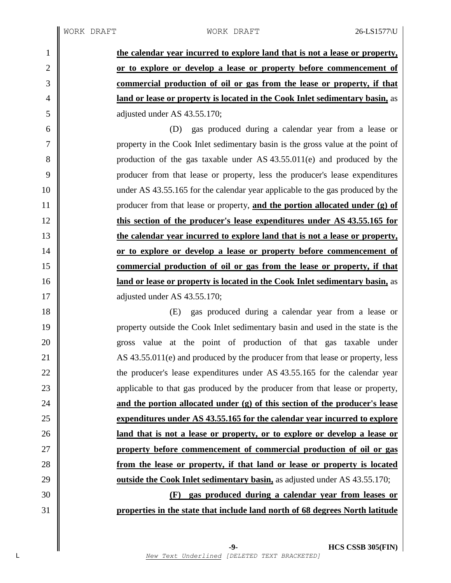**the calendar year incurred to explore land that is not a lease or property, or to explore or develop a lease or property before commencement of commercial production of oil or gas from the lease or property, if that land or lease or property is located in the Cook Inlet sedimentary basin,** as 5 diusted under AS 43.55.170; (D) gas produced during a calendar year from a lease or property in the Cook Inlet sedimentary basin is the gross value at the point of

8 production of the gas taxable under AS 43.55.011(e) and produced by the producer from that lease or property, less the producer's lease expenditures 10 under AS 43.55.165 for the calendar year applicable to the gas produced by the producer from that lease or property, **and the portion allocated under (g) of this section of the producer's lease expenditures under AS 43.55.165 for the calendar year incurred to explore land that is not a lease or property, or to explore or develop a lease or property before commencement of commercial production of oil or gas from the lease or property, if that land or lease or property is located in the Cook Inlet sedimentary basin,** as 17 adjusted under AS 43.55.170;

 (E) gas produced during a calendar year from a lease or property outside the Cook Inlet sedimentary basin and used in the state is the gross value at the point of production of that gas taxable under 21 AS 43.55.011(e) and produced by the producer from that lease or property, less  $\parallel$  the producer's lease expenditures under AS 43.55.165 for the calendar year 23 applicable to that gas produced by the producer from that lease or property, **and the portion allocated under (g) of this section of the producer's lease expenditures under AS 43.55.165 for the calendar year incurred to explore land that is not a lease or property, or to explore or develop a lease or property before commencement of commercial production of oil or gas from the lease or property, if that land or lease or property is located outside the Cook Inlet sedimentary basin,** as adjusted under AS 43.55.170;

 **(F) gas produced during a calendar year from leases or properties in the state that include land north of 68 degrees North latitude**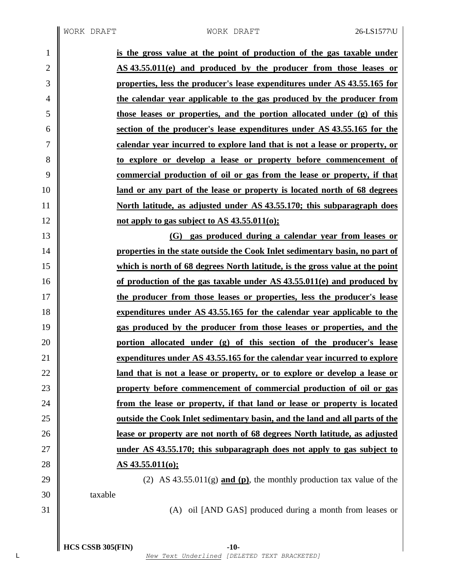$\parallel$ 

| $\mathbf{1}$   | is the gross value at the point of production of the gas taxable under             |
|----------------|------------------------------------------------------------------------------------|
| $\mathbf{2}$   | AS 43.55.011(e) and produced by the producer from those leases or                  |
| 3              | properties, less the producer's lease expenditures under AS 43.55.165 for          |
| $\overline{4}$ | the calendar year applicable to the gas produced by the producer from              |
| 5              | those leases or properties, and the portion allocated under (g) of this            |
| 6              | section of the producer's lease expenditures under AS 43.55.165 for the            |
| 7              | calendar year incurred to explore land that is not a lease or property, or         |
| 8              | to explore or develop a lease or property before commencement of                   |
| 9              | <u>commercial production of oil or gas from the lease or property, if that</u>     |
| 10             | <u>land or any part of the lease or property is located north of 68 degrees</u>    |
| 11             | <u>North latitude, as adjusted under AS 43.55.170; this subparagraph does</u>      |
| 12             | not apply to gas subject to AS $43.55.011(0)$ ;                                    |
| 13             | gas produced during a calendar year from leases or<br>(G)                          |
| 14             | properties in the state outside the Cook Inlet sedimentary basin, no part of       |
| 15             | which is north of 68 degrees North latitude, is the gross value at the point       |
| 16             | of production of the gas taxable under AS 43.55.011(e) and produced by             |
| 17             | the producer from those leases or properties, less the producer's lease            |
| 18             | expenditures under AS 43.55.165 for the calendar year applicable to the            |
| 19             | gas produced by the producer from those leases or properties, and the              |
| 20             | portion allocated under (g) of this section of the producer's lease                |
| 21             | expenditures under AS 43.55.165 for the calendar year incurred to explore          |
| 22             | land that is not a lease or property, or to explore or develop a lease or          |
| 23             | property before commencement of commercial production of oil or gas                |
| 24             | from the lease or property, if that land or lease or property is located           |
| 25             | <u>outside the Cook Inlet sedimentary basin, and the land and all parts of the</u> |
| 26             | lease or property are not north of 68 degrees North latitude, as adjusted          |
| 27             | under AS 43.55.170; this subparagraph does not apply to gas subject to             |
| 28             | <u>AS 43.55.011(0);</u>                                                            |
| 29             | (2) AS $43.55.011(g)$ and (p), the monthly production tax value of the             |
| 30             | taxable                                                                            |
| 31             | (A) oil [AND GAS] produced during a month from leases or                           |
|                |                                                                                    |
|                |                                                                                    |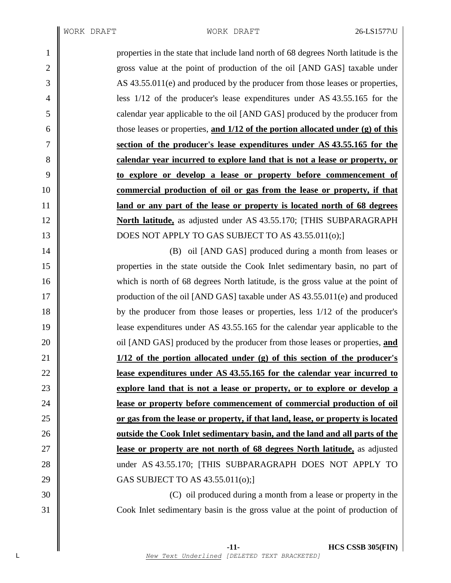properties in the state that include land north of 68 degrees North latitude is the 2 gross value at the point of production of the oil [AND GAS] taxable under AS 43.55.011(e) and produced by the producer from those leases or properties, less 1/12 of the producer's lease expenditures under AS 43.55.165 for the calendar year applicable to the oil [AND GAS] produced by the producer from those leases or properties, **and 1/12 of the portion allocated under (g) of this section of the producer's lease expenditures under AS 43.55.165 for the calendar year incurred to explore land that is not a lease or property, or to explore or develop a lease or property before commencement of commercial production of oil or gas from the lease or property, if that land or any part of the lease or property is located north of 68 degrees North latitude,** as adjusted under AS 43.55.170; [THIS SUBPARAGRAPH 13 || DOES NOT APPLY TO GAS SUBJECT TO AS 43.55.011(o); 14 || (B) oil [AND GAS] produced during a month from leases or properties in the state outside the Cook Inlet sedimentary basin, no part of

16 which is north of 68 degrees North latitude, is the gross value at the point of **production of the oil [AND GAS] taxable under AS 43.55.011(e) and produced**  by the producer from those leases or properties, less 1/12 of the producer's lease expenditures under AS 43.55.165 for the calendar year applicable to the **oil** [AND GAS] produced by the producer from those leases or properties, **and 1/12 of the portion allocated under (g) of this section of the producer's lease expenditures under AS 43.55.165 for the calendar year incurred to explore land that is not a lease or property, or to explore or develop a lease or property before commencement of commercial production of oil or gas from the lease or property, if that land, lease, or property is located outside the Cook Inlet sedimentary basin, and the land and all parts of the lease or property are not north of 68 degrees North latitude,** as adjusted 28 under AS 43.55.170; [THIS SUBPARAGRAPH DOES NOT APPLY TO 29 | GAS SUBJECT TO AS 43.55.011(0);

 (C) oil produced during a month from a lease or property in the Cook Inlet sedimentary basin is the gross value at the point of production of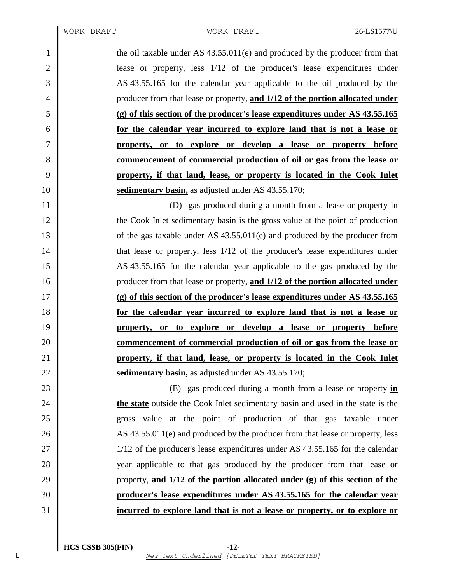1 the oil taxable under AS 43.55.011(e) and produced by the producer from that **lease** or property, less  $1/12$  of the producer's lease expenditures under AS 43.55.165 for the calendar year applicable to the oil produced by the producer from that lease or property, **and 1/12 of the portion allocated under (g) of this section of the producer's lease expenditures under AS 43.55.165 for the calendar year incurred to explore land that is not a lease or property, or to explore or develop a lease or property before commencement of commercial production of oil or gas from the lease or property, if that land, lease, or property is located in the Cook Inlet sedimentary basin,** as adjusted under AS 43.55.170;

 (D) gas produced during a month from a lease or property in 12 the Cook Inlet sedimentary basin is the gross value at the point of production 13 of the gas taxable under AS 43.55.011(e) and produced by the producer from  $\parallel$  that lease or property, less 1/12 of the producer's lease expenditures under AS 43.55.165 for the calendar year applicable to the gas produced by the producer from that lease or property, **and 1/12 of the portion allocated under (g) of this section of the producer's lease expenditures under AS 43.55.165 for the calendar year incurred to explore land that is not a lease or property, or to explore or develop a lease or property before commencement of commercial production of oil or gas from the lease or property, if that land, lease, or property is located in the Cook Inlet sedimentary basin,** as adjusted under AS 43.55.170;

 (E) gas produced during a month from a lease or property **in the state** outside the Cook Inlet sedimentary basin and used in the state is the gross value at the point of production of that gas taxable under 26 AS 43.55.011(e) and produced by the producer from that lease or property, less 27 || 1/12 of the producer's lease expenditures under AS 43.55.165 for the calendar 28 year applicable to that gas produced by the producer from that lease or property, **and 1/12 of the portion allocated under (g) of this section of the producer's lease expenditures under AS 43.55.165 for the calendar year incurred to explore land that is not a lease or property, or to explore or**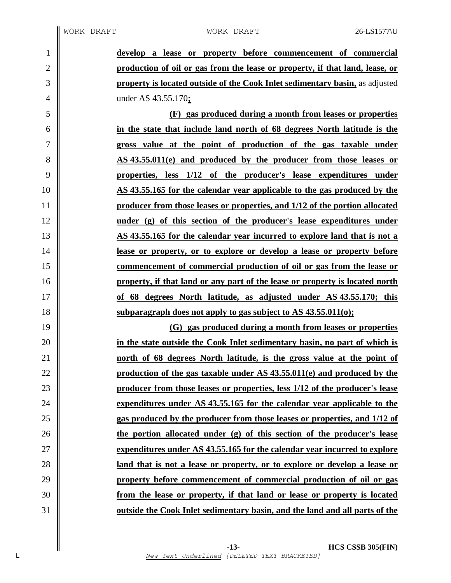**develop a lease or property before commencement of commercial production of oil or gas from the lease or property, if that land, lease, or property is located outside of the Cook Inlet sedimentary basin,** as adjusted under AS 43.55.170**; (F) gas produced during a month from leases or properties in the state that include land north of 68 degrees North latitude is the gross value at the point of production of the gas taxable under AS 43.55.011(e) and produced by the producer from those leases or properties, less 1/12 of the producer's lease expenditures under AS 43.55.165 for the calendar year applicable to the gas produced by the producer from those leases or properties, and 1/12 of the portion allocated under (g) of this section of the producer's lease expenditures under AS 43.55.165 for the calendar year incurred to explore land that is not a lease or property, or to explore or develop a lease or property before commencement of commercial production of oil or gas from the lease or property, if that land or any part of the lease or property is located north of 68 degrees North latitude, as adjusted under AS 43.55.170; this subparagraph does not apply to gas subject to AS 43.55.011(o); (G) gas produced during a month from leases or properties in the state outside the Cook Inlet sedimentary basin, no part of which is north of 68 degrees North latitude, is the gross value at the point of production of the gas taxable under AS 43.55.011(e) and produced by the producer from those leases or properties, less 1/12 of the producer's lease expenditures under AS 43.55.165 for the calendar year applicable to the gas produced by the producer from those leases or properties, and 1/12 of the portion allocated under (g) of this section of the producer's lease expenditures under AS 43.55.165 for the calendar year incurred to explore land that is not a lease or property, or to explore or develop a lease or property before commencement of commercial production of oil or gas from the lease or property, if that land or lease or property is located outside the Cook Inlet sedimentary basin, and the land and all parts of the**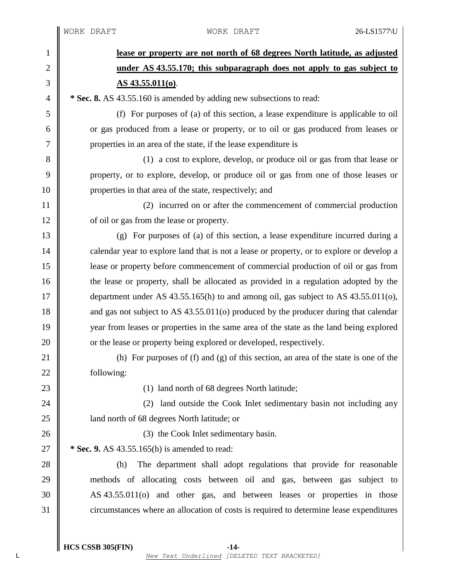| $\mathbf{1}$   | lease or property are not north of 68 degrees North latitude, as adjusted                 |
|----------------|-------------------------------------------------------------------------------------------|
| 2              | under AS 43.55.170; this subparagraph does not apply to gas subject to                    |
| 3              | <u>AS 43.55.011(0).</u>                                                                   |
| $\overline{4}$ | * Sec. 8. AS 43.55.160 is amended by adding new subsections to read:                      |
| 5              | (f) For purposes of (a) of this section, a lease expenditure is applicable to oil         |
| 6              | or gas produced from a lease or property, or to oil or gas produced from leases or        |
| 7              | properties in an area of the state, if the lease expenditure is                           |
| 8              | (1) a cost to explore, develop, or produce oil or gas from that lease or                  |
| 9              | property, or to explore, develop, or produce oil or gas from one of those leases or       |
| 10             | properties in that area of the state, respectively; and                                   |
| 11             | (2) incurred on or after the commencement of commercial production                        |
| 12             | of oil or gas from the lease or property.                                                 |
| 13             | (g) For purposes of (a) of this section, a lease expenditure incurred during a            |
| 14             | calendar year to explore land that is not a lease or property, or to explore or develop a |
| 15             | lease or property before commencement of commercial production of oil or gas from         |
| 16             | the lease or property, shall be allocated as provided in a regulation adopted by the      |
| 17             | department under AS $43.55.165(h)$ to and among oil, gas subject to AS $43.55.011(o)$ ,   |
| 18             | and gas not subject to AS 43.55.011(o) produced by the producer during that calendar      |
| 19             | year from leases or properties in the same area of the state as the land being explored   |
| 20             | or the lease or property being explored or developed, respectively.                       |
| 21             | (h) For purposes of $(f)$ and $(g)$ of this section, an area of the state is one of the   |
| 22             | following:                                                                                |
| 23             | (1) land north of 68 degrees North latitude;                                              |
| 24             | land outside the Cook Inlet sedimentary basin not including any<br>(2)                    |
| 25             | land north of 68 degrees North latitude; or                                               |
| 26             | (3) the Cook Inlet sedimentary basin.                                                     |
| 27             | * Sec. 9. AS 43.55.165(h) is amended to read:                                             |
| 28             | The department shall adopt regulations that provide for reasonable<br>(h)                 |
| 29             | methods of allocating costs between oil and gas, between gas subject to                   |
| 30             | AS 43.55.011(o) and other gas, and between leases or properties in those                  |
| 31             | circumstances where an allocation of costs is required to determine lease expenditures    |
|                |                                                                                           |

**HCS CSSB 305(FIN) -14-** L *New Text Underlined [DELETED TEXT BRACKETED]*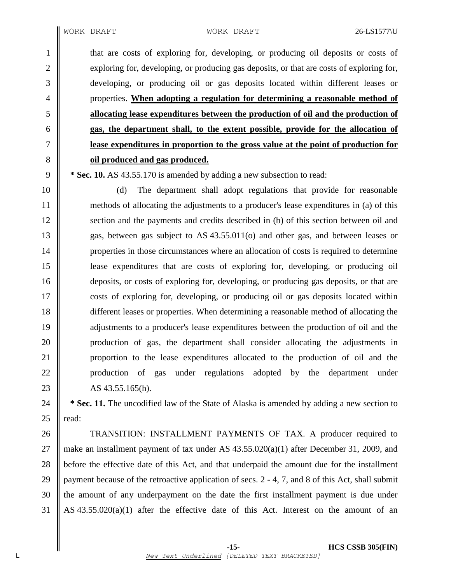that are costs of exploring for, developing, or producing oil deposits or costs of 2 exploring for, developing, or producing gas deposits, or that are costs of exploring for, developing, or producing oil or gas deposits located within different leases or properties. **When adopting a regulation for determining a reasonable method of allocating lease expenditures between the production of oil and the production of gas, the department shall, to the extent possible, provide for the allocation of lease expenditures in proportion to the gross value at the point of production for oil produced and gas produced.**

9 **\* Sec. 10.** AS 43.55.170 is amended by adding a new subsection to read:

 (d) The department shall adopt regulations that provide for reasonable methods of allocating the adjustments to a producer's lease expenditures in (a) of this 12 Section and the payments and credits described in (b) of this section between oil and gas, between gas subject to AS 43.55.011(o) and other gas, and between leases or properties in those circumstances where an allocation of costs is required to determine lease expenditures that are costs of exploring for, developing, or producing oil deposits, or costs of exploring for, developing, or producing gas deposits, or that are costs of exploring for, developing, or producing oil or gas deposits located within different leases or properties. When determining a reasonable method of allocating the 19 adjustments to a producer's lease expenditures between the production of oil and the production of gas, the department shall consider allocating the adjustments in 21 | proportion to the lease expenditures allocated to the production of oil and the 22 || production of gas under regulations adopted by the department under 23 AS  $43.55.165(h)$ .

24 **\* Sec. 11.** The uncodified law of the State of Alaska is amended by adding a new section to 25  $\parallel$  read:

26 TRANSITION: INSTALLMENT PAYMENTS OF TAX. A producer required to 27 || make an installment payment of tax under AS  $43.55.020(a)(1)$  after December 31, 2009, and 28 before the effective date of this Act, and that underpaid the amount due for the installment 29 payment because of the retroactive application of secs.  $2 - 4$ , 7, and 8 of this Act, shall submit  $30$  the amount of any underpayment on the date the first installment payment is due under 31 AS 43.55.020(a)(1) after the effective date of this Act. Interest on the amount of an